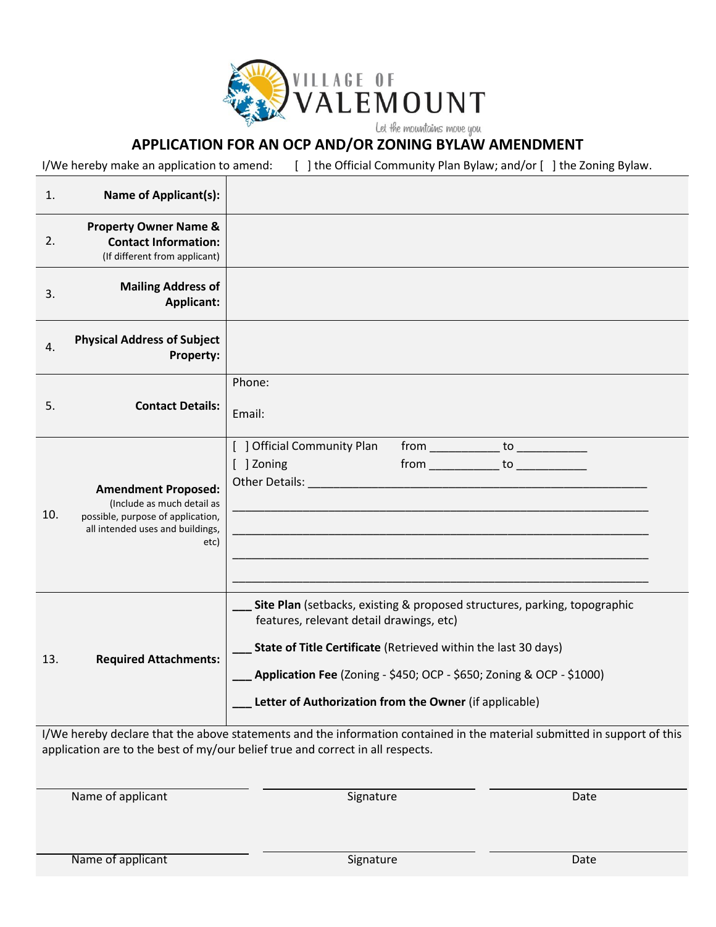

## **APPLICATION FOR AN OCP AND/OR ZONING BYLAW AMENDMENT**

I/We hereby make an application to amend: [ ] the Official Community Plan Bylaw; and/or [ ] the Zoning Bylaw.

| 1.  | <b>Name of Applicant(s):</b>                                                                                                              |                                                                                                                                                                                                                                                                                                                                                                                                     |  |  |
|-----|-------------------------------------------------------------------------------------------------------------------------------------------|-----------------------------------------------------------------------------------------------------------------------------------------------------------------------------------------------------------------------------------------------------------------------------------------------------------------------------------------------------------------------------------------------------|--|--|
| 2.  | <b>Property Owner Name &amp;</b><br><b>Contact Information:</b><br>(If different from applicant)                                          |                                                                                                                                                                                                                                                                                                                                                                                                     |  |  |
| 3.  | <b>Mailing Address of</b><br><b>Applicant:</b>                                                                                            |                                                                                                                                                                                                                                                                                                                                                                                                     |  |  |
| 4.  | <b>Physical Address of Subject</b><br>Property:                                                                                           |                                                                                                                                                                                                                                                                                                                                                                                                     |  |  |
| 5.  | <b>Contact Details:</b>                                                                                                                   | Phone:<br>Email:                                                                                                                                                                                                                                                                                                                                                                                    |  |  |
| 10. | <b>Amendment Proposed:</b><br>(Include as much detail as<br>possible, purpose of application,<br>all intended uses and buildings,<br>etc) | [ ] Official Community Plan<br>[ ] Zoning<br>Other Details: The Contract of the Contract of the Contract of the Contract of the Contract of the Contract of<br><u> 1989 - Johann Barn, mars ann an t-Amhair ann an t-Amhair ann an t-Amhair ann an t-Amhair ann an t-Amhair ann an t-Amhair ann an t-Amhair ann an t-Amhair ann an t-Amhair ann an t-Amhair ann an t-Amhair ann an t-Amhair ann</u> |  |  |
| 13. | <b>Required Attachments:</b>                                                                                                              | Site Plan (setbacks, existing & proposed structures, parking, topographic<br>features, relevant detail drawings, etc)<br>State of Title Certificate (Retrieved within the last 30 days)<br>Application Fee (Zoning - \$450; OCP - \$650; Zoning & OCP - \$1000)<br>Letter of Authorization from the Owner (if applicable)                                                                           |  |  |

I/We hereby declare that the above statements and the information contained in the material submitted in support of this application are to the best of my/our belief true and correct in all respects.

Name of applicant Date Date Contract Assembly Date Date Date